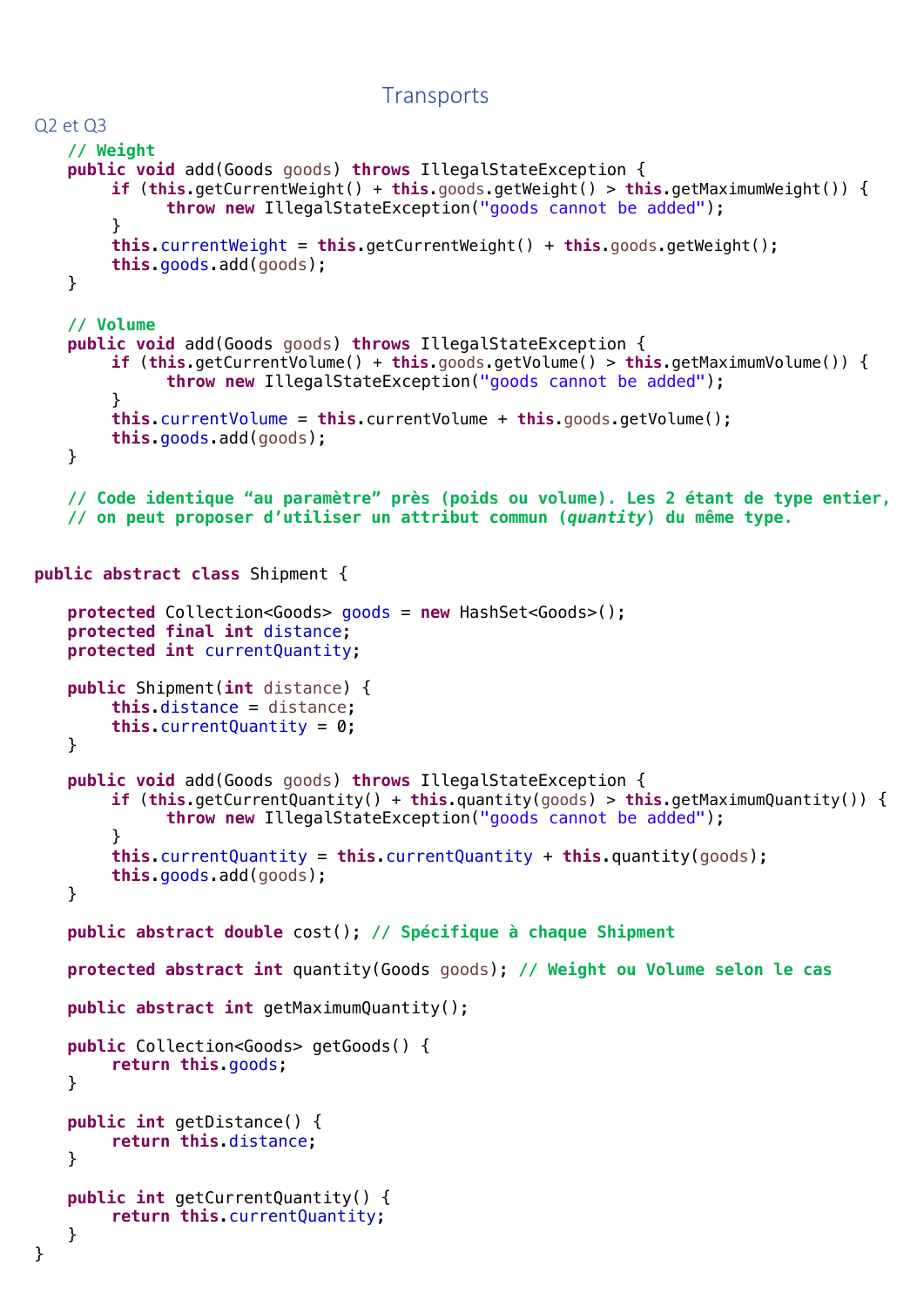## **Transports**

```
Q2 et Q3
   // Weight
   public void add(Goods goods) throws IllegalStateException {
        if (this.getCurrentWeight() + this.goods.getWeight() > this.getMaximumWeight()) {
             throw new IllegalStateException("goods cannot be added");
        }
        this.currentWeight = this.getCurrentWeight() + this.goods.getWeight();
        this.goods.add(goods);
   }
   // Volume
   public void add(Goods goods) throws IllegalStateException {
        if (this.getCurrentVolume() + this.goods.getVolume() > this.getMaximumVolume()) {
             throw new IllegalStateException("goods cannot be added");
        }
        this.currentVolume = this.currentVolume + this.goods.getVolume();
        this.goods.add(goods);
   }
   // Code identique "au paramètre" près (poids ou volume). Les 2 étant de type entier, 
   // on peut proposer d'utiliser un attribut commun (quantity) du même type.
public abstract class Shipment {
   protected Collection<Goods> goods = new HashSet<Goods>();
   protected final int distance;
   protected int currentQuantity;
   public Shipment(int distance) {
        this.distance = distance;
        this.currentQuantity = 0;
   }
   public void add(Goods goods) throws IllegalStateException {
        if (this.getCurrentQuantity() + this.quantity(goods) > this.getMaximumQuantity()) {
             throw new IllegalStateException("goods cannot be added");
        }
        this.currentQuantity = this.currentQuantity + this.quantity(goods);
        this.goods.add(goods);
   }
   public abstract double cost(); // Spécifique à chaque Shipment
   protected abstract int quantity(Goods goods); // Weight ou Volume selon le cas
   public abstract int getMaximumQuantity();
   public Collection<Goods> getGoods() {
        return this.goods;
   }
   public int getDistance() {
        return this.distance;
   }
   public int getCurrentQuantity() {
        return this.currentQuantity;
   }
```
}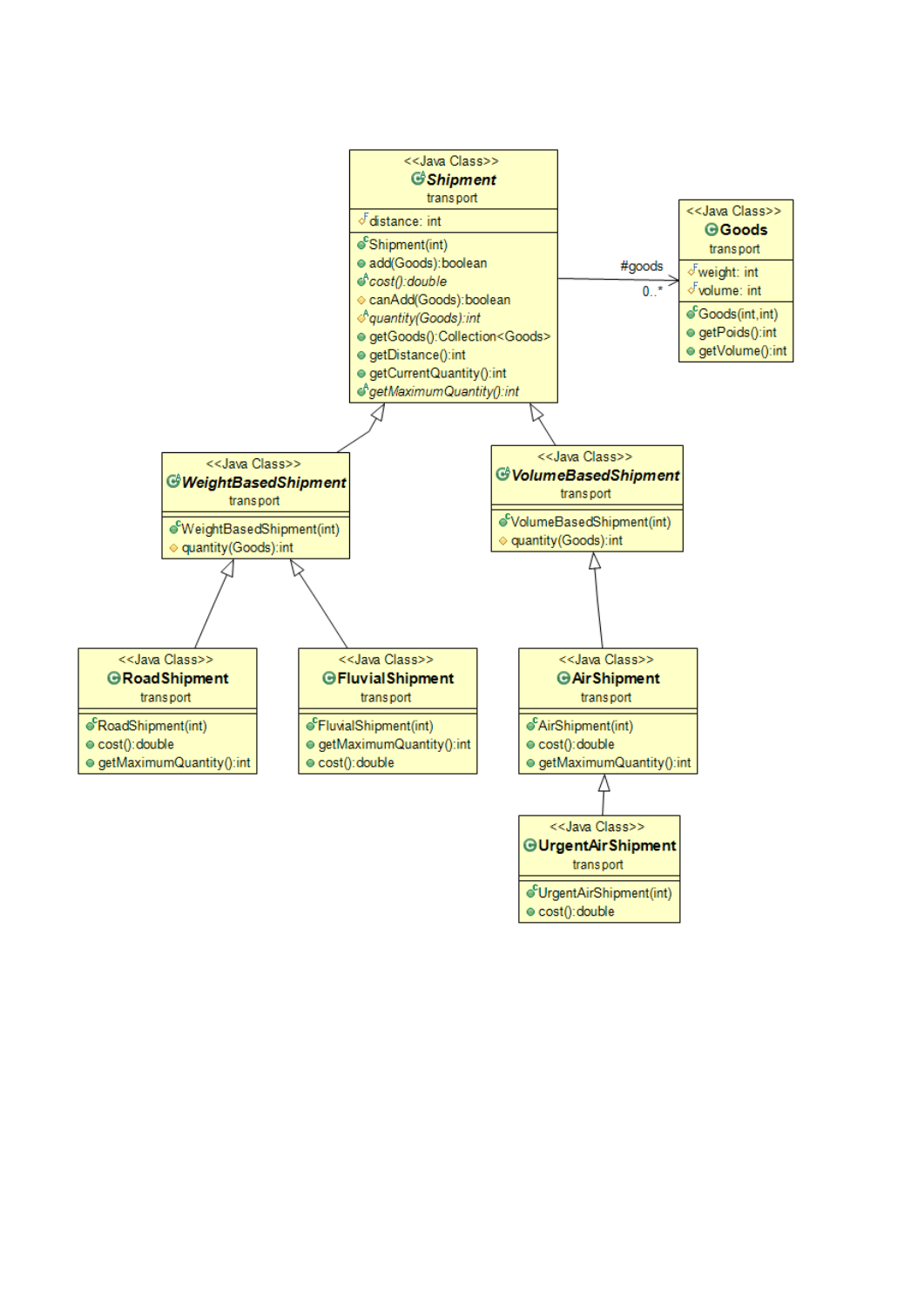

· cost(): double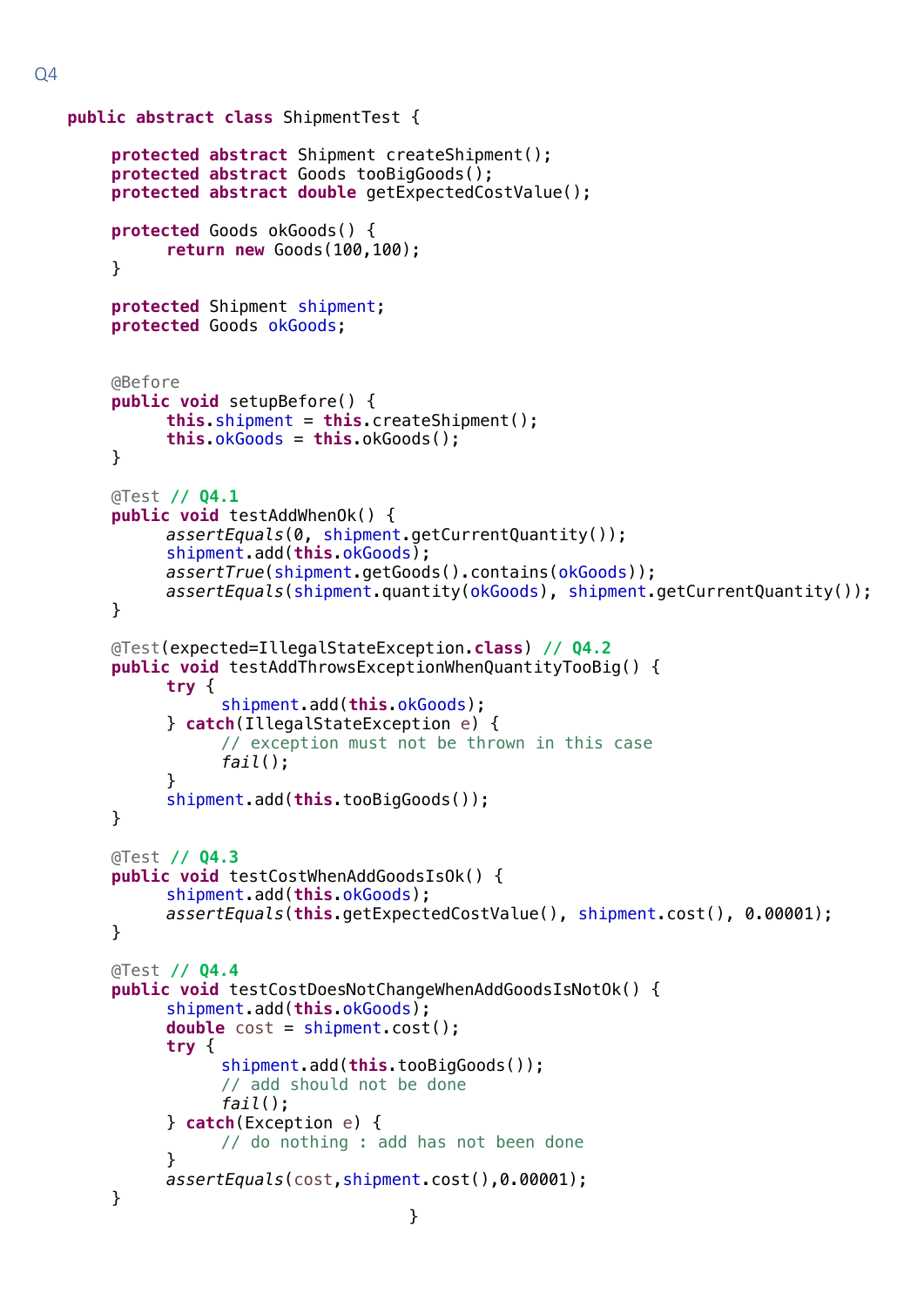```
public abstract class ShipmentTest {
    protected abstract Shipment createShipment();
    protected abstract Goods tooBigGoods();
    protected abstract double getExpectedCostValue();
    protected Goods okGoods() {
          return new Goods(100,100);
    }
    protected Shipment shipment;
    protected Goods okGoods;
    @Before
    public void setupBefore() {
          this.shipment = this.createShipment();
          this.okGoods = this.okGoods();
    }
    @Test // Q4.1
    public void testAddWhenOk() {
          assertEquals(0, shipment.getCurrentQuantity());
          shipment.add(this.okGoods);
          assertTrue(shipment.getGoods().contains(okGoods));
          assertEquals(shipment.quantity(okGoods), shipment.getCurrentQuantity());
    }
    @Test(expected=IllegalStateException.class) // Q4.2
    public void testAddThrowsExceptionWhenQuantityTooBig() {
          try {
                shipment.add(this.okGoods);
          } catch(IllegalStateException e) {
                // exception must not be thrown in this case
                fail();
          }
          shipment.add(this.tooBigGoods());
    }
    @Test // Q4.3
    public void testCostWhenAddGoodsIsOk() {
          shipment.add(this.okGoods);
          assertEquals(this.getExpectedCostValue(), shipment.cost(), 0.00001);
    }
    @Test // Q4.4
    public void testCostDoesNotChangeWhenAddGoodsIsNotOk() {
          shipment.add(this.okGoods);
          double cost = shipment.cost();
          try {
                shipment.add(this.tooBigGoods());
                // add should not be done
                fail();
          } catch(Exception e) {
                // do nothing : add has not been done 
          }
          assertEquals(cost,shipment.cost(),0.00001);
    }
                                   }
```